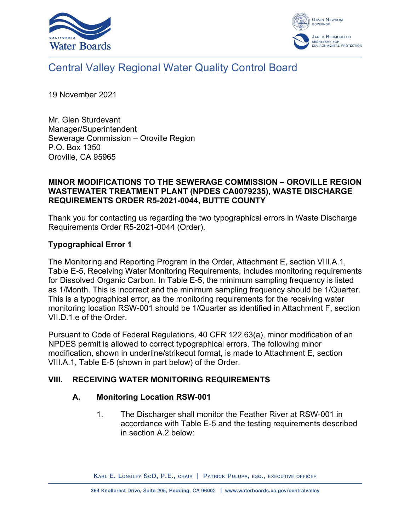



# Central Valley Regional Water Quality Control Board

19 November 2021

Mr. Glen Sturdevant Manager/Superintendent Sewerage Commission – Oroville Region P.O. Box 1350 Oroville, CA 95965

#### **MINOR MODIFICATIONS TO THE SEWERAGE COMMISSION – OROVILLE REGION WASTEWATER TREATMENT PLANT (NPDES CA0079235), WASTE DISCHARGE REQUIREMENTS ORDER R5-2021-0044, BUTTE COUNTY**

Thank you for contacting us regarding the two typographical errors in Waste Discharge Requirements Order R5-2021-0044 (Order).

### **Typographical Error 1**

The Monitoring and Reporting Program in the Order, Attachment E, section VIII.A.1, Table E-5, Receiving Water Monitoring Requirements, includes monitoring requirements for Dissolved Organic Carbon. In Table E-5, the minimum sampling frequency is listed as 1/Month. This is incorrect and the minimum sampling frequency should be 1/Quarter. This is a typographical error, as the monitoring requirements for the receiving water monitoring location RSW-001 should be 1/Quarter as identified in Attachment F, section VII.D.1.e of the Order.

Pursuant to Code of Federal Regulations, 40 CFR 122.63(a), minor modification of an NPDES permit is allowed to correct typographical errors. The following minor modification, shown in underline/strikeout format, is made to Attachment E, section VIII.A.1, Table E-5 (shown in part below) of the Order.

#### **VIII. RECEIVING WATER MONITORING REQUIREMENTS**

#### **A. Monitoring Location RSW-001**

1. The Discharger shall monitor the Feather River at RSW-001 in accordance with Table E-5 and the testing requirements described in section A.2 below:

KARL E. LONGLEY SCD, P.E., CHAIR | PATRICK PULUPA, ESQ., EXECUTIVE OFFICER